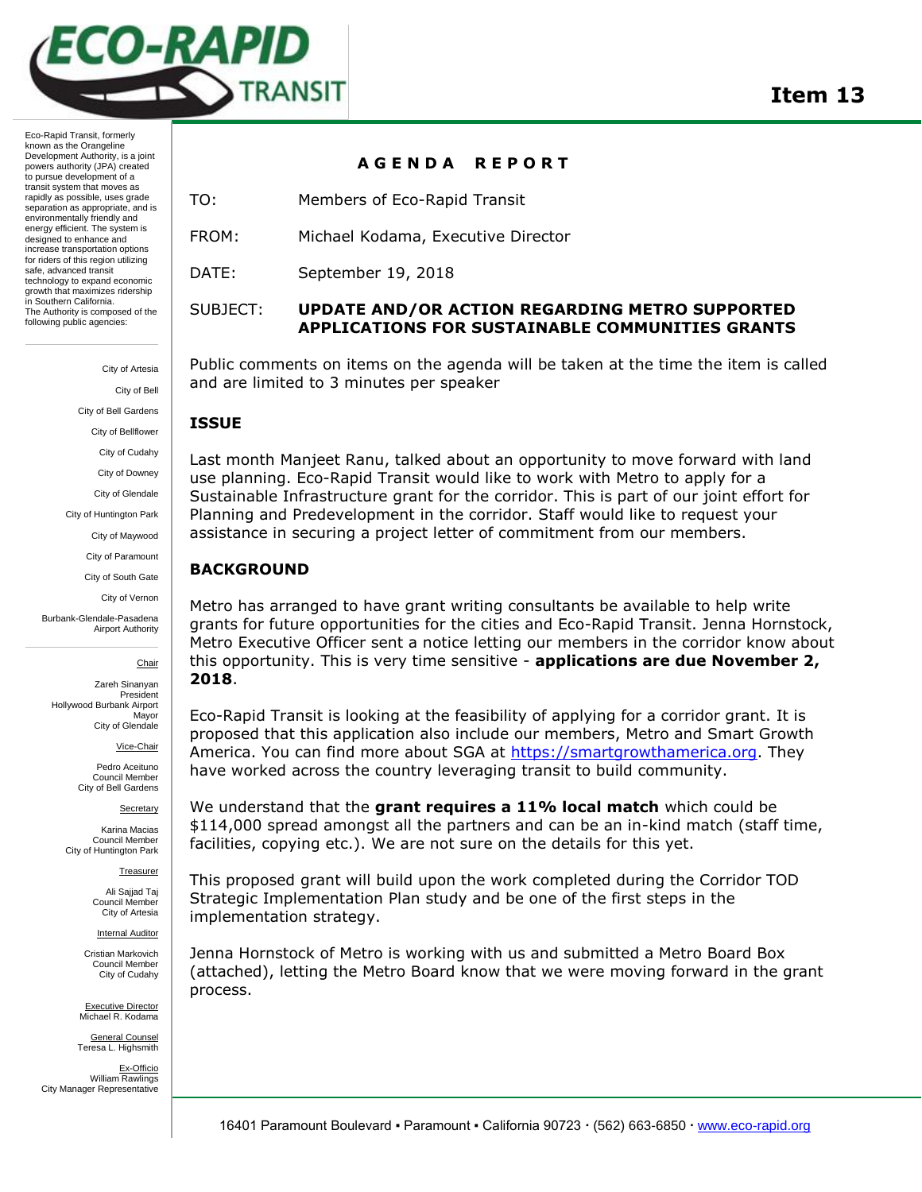

Eco-Rapid Transit, formerly known as the Orangeline Development Authority, is a joint powers authority (JPA) created to pursue development of a transit system that moves as rapidly as possible, uses grade separation as appropriate, and is environmentally friendly and energy efficient. The system is designed to enhance and increase transportation options for riders of this region utilizing safe, advanced transit technology to expand economic growth that maximizes ridership in Southern California. The Authority is composed of the following public agencies:

> City of Artesia City of Bell City of Bell Gardens City of Bellflower City of Cudahy City of Downey City of Glendale City of Huntington Park City of Maywood City of Paramount City of South Gate

> > City of Vernon

Burbank-Glendale-Pasadena Airport Authority

Chair

Zareh Sinanyan President Hollywood Burbank Airport Mayor City of Glendale

Vice-Chair

Pedro Aceituno Council Member City of Bell Gardens

Secretary

Karina Macias Council Member City of Huntington Park

Treasurer

Ali Sajjad Taj Council Member City of Artesia

Internal Auditor

Cristian Markovich Council Member City of Cudahy

Executive Director Michael R. Kodama General Counsel

Teresa L. Highsmith Ex-Officio William Rawlings City Manager Representative

# **A G E N D A R E P O R T**

TO: Members of Eco-Rapid Transit

FROM: Michael Kodama, Executive Director

DATE: September 19, 2018

## SUBJECT: **UPDATE AND/OR ACTION REGARDING METRO SUPPORTED APPLICATIONS FOR SUSTAINABLE COMMUNITIES GRANTS**

Public comments on items on the agenda will be taken at the time the item is called and are limited to 3 minutes per speaker

### **ISSUE**

Last month Manjeet Ranu, talked about an opportunity to move forward with land use planning. Eco-Rapid Transit would like to work with Metro to apply for a Sustainable Infrastructure grant for the corridor. This is part of our joint effort for Planning and Predevelopment in the corridor. Staff would like to request your assistance in securing a project letter of commitment from our members.

## **BACKGROUND**

Metro has arranged to have grant writing consultants be available to help write grants for future opportunities for the cities and Eco-Rapid Transit. Jenna Hornstock, Metro Executive Officer sent a notice letting our members in the corridor know about this opportunity. This is very time sensitive - **applications are due November 2, 2018**.

Eco-Rapid Transit is looking at the feasibility of applying for a corridor grant. It is proposed that this application also include our members, Metro and Smart Growth America. You can find more about SGA at [https://smartgrowthamerica.org.](https://smartgrowthamerica.org/) They have worked across the country leveraging transit to build community.

We understand that the **grant requires a 11% local match** which could be \$114,000 spread amongst all the partners and can be an in-kind match (staff time, facilities, copying etc.). We are not sure on the details for this yet.

This proposed grant will build upon the work completed during the Corridor TOD Strategic Implementation Plan study and be one of the first steps in the implementation strategy.

Jenna Hornstock of Metro is working with us and submitted a Metro Board Box (attached), letting the Metro Board know that we were moving forward in the grant process.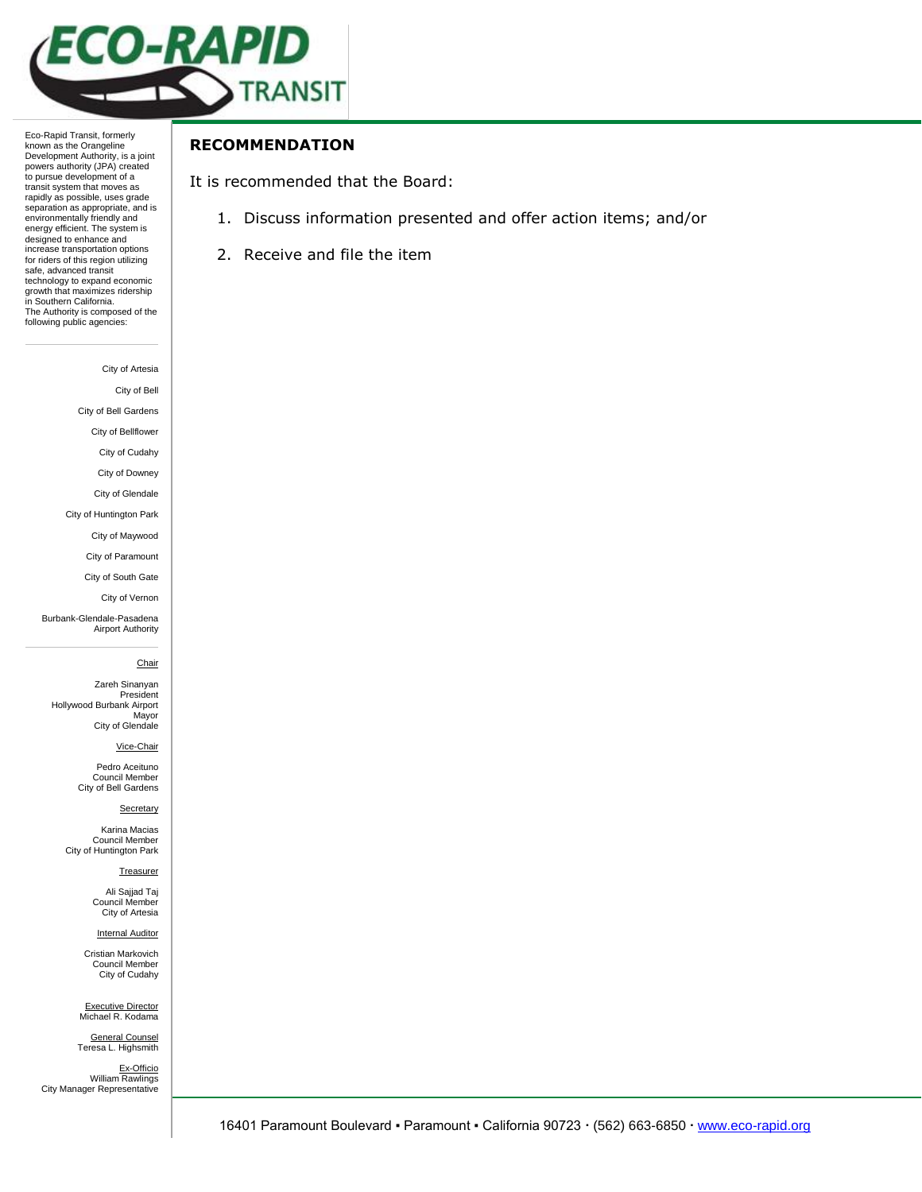

Eco-Rapid Transit, formerly known as the Orangeline Development Authority, is a joint powers authority (JPA) created to pursue development of a transit system that moves as rapidly as possible, uses grade separation as appropriate, and is environmentally friendly and energy efficient. The system is designed to enhance and increase transportation options for riders of this region utilizing safe, advanced transit technology to expand economic growth that maximizes ridership in Southern California. The Authority is composed of the following public agencies:

City of Artesia

City of Bell

City of Bell Gardens

City of Bellflower

City of Cudahy

City of Downey

City of Glendale

City of Huntington Park

City of Maywood

City of Paramount

City of South Gate

City of Vernon

Burbank-Glendale-Pasadena Airport Authority

#### **Chair**

Zareh Sinanyan President Hollywood Burbank Airport Mayor City of Glendale

Vice-Chair

Pedro Aceituno Council Member City of Bell Gardens

#### **Secretary**

Karina Macias Council Member City of Huntington Park

Treasurer

Ali Sajjad Taj Council Member City of Artesia

**Internal Auditor** 

Cristian Markovich Council Member City of Cudahy

Executive Director Michael R. Kodama

General Counsel Teresa L. Highsmith Ex-Officio

William Rawlings City Manager Representative

## **RECOMMENDATION**

It is recommended that the Board:

- 1. Discuss information presented and offer action items; and/or
- 2. Receive and file the item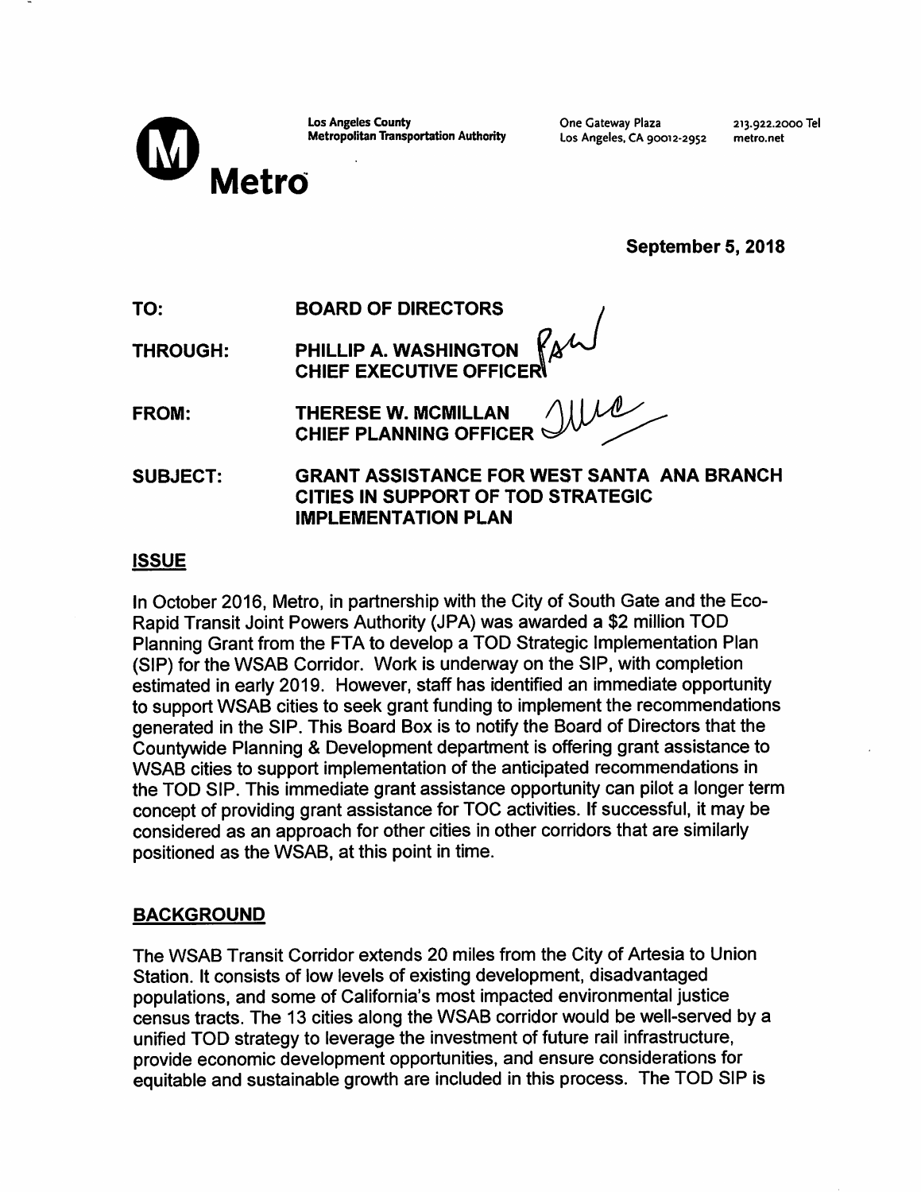| <b>Los Angeles County</b> |                                              |  |  |
|---------------------------|----------------------------------------------|--|--|
|                           | <b>Metropolitan Transportation Authority</b> |  |  |

One Gateway Plaza Los Angeles, CA 90012-2952 213.922.2000 Tel metro.net

September 5, 2018

|  | TO: | <b>BOARD OF DIRECTORS</b> |
|--|-----|---------------------------|
|--|-----|---------------------------|

PHILLIP A. WASHINGTON  $R_{\mathcal{A}}$ W<br>CHIEF EXECUTIVE OFFICER **THROUGH:** 

| FROM: |  |
|-------|--|
|-------|--|

**THERESE W. MCMILLAN CHIEF PLANNING OFFICER** 

SUBJECT: **GRANT ASSISTANCE FOR WEST SANTA ANA BRANCH** CITIES IN SUPPORT OF TOD STRATEGIC **IMPLEMENTATION PLAN** 

## **ISSUE**

In October 2016, Metro, in partnership with the City of South Gate and the Eco-Rapid Transit Joint Powers Authority (JPA) was awarded a \$2 million TOD Planning Grant from the FTA to develop a TOD Strategic Implementation Plan (SIP) for the WSAB Corridor. Work is underway on the SIP, with completion estimated in early 2019. However, staff has identified an immediate opportunity to support WSAB cities to seek grant funding to implement the recommendations generated in the SIP. This Board Box is to notify the Board of Directors that the Countywide Planning & Development department is offering grant assistance to WSAB cities to support implementation of the anticipated recommendations in the TOD SIP. This immediate grant assistance opportunity can pilot a longer term concept of providing grant assistance for TOC activities. If successful, it may be considered as an approach for other cities in other corridors that are similarly positioned as the WSAB, at this point in time.

# **BACKGROUND**

The WSAB Transit Corridor extends 20 miles from the City of Artesia to Union Station. It consists of low levels of existing development, disadvantaged populations, and some of California's most impacted environmental justice census tracts. The 13 cities along the WSAB corridor would be well-served by a unified TOD strategy to leverage the investment of future rail infrastructure. provide economic development opportunities, and ensure considerations for equitable and sustainable growth are included in this process. The TOD SIP is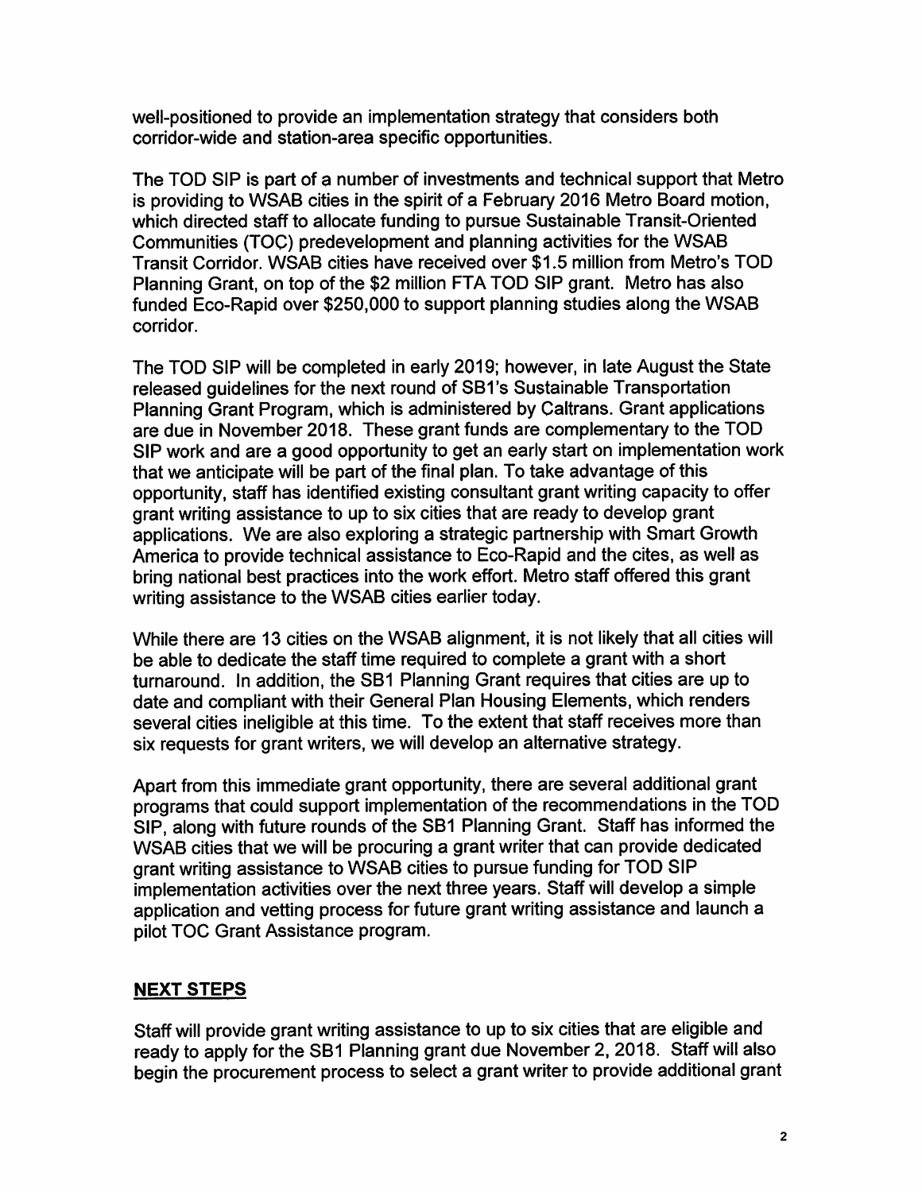well-positioned to provide an implementation strategy that considers both corridor-wide and station-area specific opportunities.

The TOD SIP is part of a number of investments and technical support that Metro is providing to WSAB cities in the spirit of a February 2016 Metro Board motion, which directed staff to allocate funding to pursue Sustainable Transit-Oriented Communities (TOC) predevelopment and planning activities for the WSAB Transit Corridor. WSAB cities have received over \$1.5 million from Metro's TOD Planning Grant, on top of the \$2 million FTA TOD SIP grant. Metro has also funded Eco-Rapid over \$250,000 to support planning studies along the WSAB corridor.

The TOD SIP will be completed in early 2019; however, in late August the State released quidelines for the next round of SB1's Sustainable Transportation Planning Grant Program, which is administered by Caltrans. Grant applications are due in November 2018. These grant funds are complementary to the TOD SIP work and are a good opportunity to get an early start on implementation work that we anticipate will be part of the final plan. To take advantage of this opportunity, staff has identified existing consultant grant writing capacity to offer grant writing assistance to up to six cities that are ready to develop grant applications. We are also exploring a strategic partnership with Smart Growth America to provide technical assistance to Eco-Rapid and the cites, as well as bring national best practices into the work effort. Metro staff offered this grant writing assistance to the WSAB cities earlier today.

While there are 13 cities on the WSAB alignment, it is not likely that all cities will be able to dedicate the staff time required to complete a grant with a short turnaround. In addition, the SB1 Planning Grant requires that cities are up to date and compliant with their General Plan Housing Elements, which renders several cities ineligible at this time. To the extent that staff receives more than six requests for grant writers, we will develop an alternative strategy.

Apart from this immediate grant opportunity, there are several additional grant programs that could support implementation of the recommendations in the TOD SIP, along with future rounds of the SB1 Planning Grant. Staff has informed the WSAB cities that we will be procuring a grant writer that can provide dedicated grant writing assistance to WSAB cities to pursue funding for TOD SIP implementation activities over the next three years. Staff will develop a simple application and vetting process for future grant writing assistance and launch a pilot TOC Grant Assistance program.

# **NEXT STEPS**

Staff will provide grant writing assistance to up to six cities that are eligible and ready to apply for the SB1 Planning grant due November 2, 2018. Staff will also begin the procurement process to select a grant writer to provide additional grant